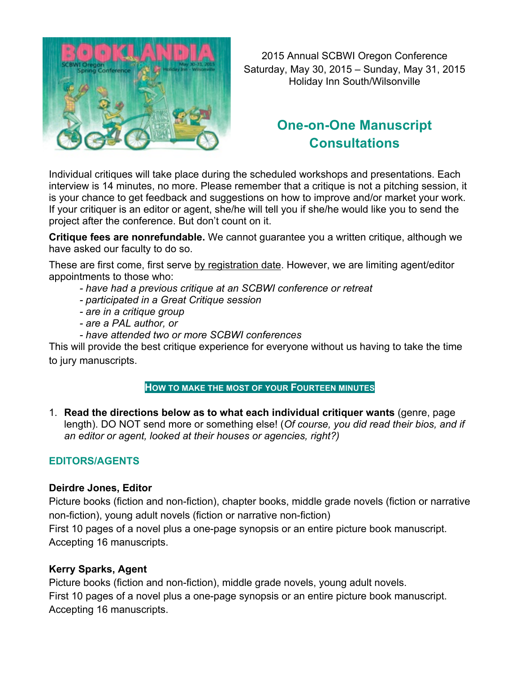

2015 Annual SCBWI Oregon Conference Saturday, May 30, 2015 – Sunday, May 31, 2015 Holiday Inn South/Wilsonville

# **One-on-One Manuscript Consultations**

Individual critiques will take place during the scheduled workshops and presentations. Each interview is 14 minutes, no more. Please remember that a critique is not a pitching session, it is your chance to get feedback and suggestions on how to improve and/or market your work. If your critiquer is an editor or agent, she/he will tell you if she/he would like you to send the project after the conference. But don't count on it.

**Critique fees are nonrefundable.** We cannot guarantee you a written critique, although we have asked our faculty to do so.

These are first come, first serve by registration date. However, we are limiting agent/editor appointments to those who:

- *- have had a previous critique at an SCBWI conference or retreat*
- *- participated in a Great Critique session*
- *- are in a critique group*
- *- are a PAL author, or*
- *- have attended two or more SCBWI conferences*

This will provide the best critique experience for everyone without us having to take the time to jury manuscripts.

## **HOW TO MAKE THE MOST OF YOUR FOURTEEN MINUTES**

1. **Read the directions below as to what each individual critiquer wants** (genre, page length). DO NOT send more or something else! (*Of course, you did read their bios, and if an editor or agent, looked at their houses or agencies, right?)*

## **EDITORS/AGENTS**

#### **Deirdre Jones, Editor**

Picture books (fiction and non-fiction), chapter books, middle grade novels (fiction or narrative non-fiction), young adult novels (fiction or narrative non-fiction)

First 10 pages of a novel plus a one-page synopsis or an entire picture book manuscript. Accepting 16 manuscripts.

## **Kerry Sparks, Agent**

Picture books (fiction and non-fiction), middle grade novels, young adult novels. First 10 pages of a novel plus a one-page synopsis or an entire picture book manuscript. Accepting 16 manuscripts.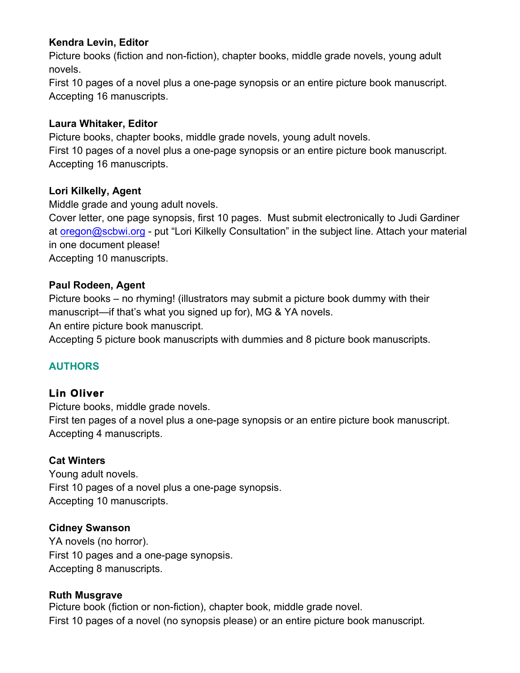## **Kendra Levin, Editor**

Picture books (fiction and non-fiction), chapter books, middle grade novels, young adult novels.

First 10 pages of a novel plus a one-page synopsis or an entire picture book manuscript. Accepting 16 manuscripts.

#### **Laura Whitaker, Editor**

Picture books, chapter books, middle grade novels, young adult novels.

First 10 pages of a novel plus a one-page synopsis or an entire picture book manuscript. Accepting 16 manuscripts.

## **Lori Kilkelly, Agent**

Middle grade and young adult novels.

Cover letter, one page synopsis, first 10 pages. Must submit electronically to Judi Gardiner at oregon@scbwi.org - put "Lori Kilkelly Consultation" in the subject line. Attach your material in one document please!

Accepting 10 manuscripts.

#### **Paul Rodeen, Agent**

Picture books – no rhyming! (illustrators may submit a picture book dummy with their manuscript—if that's what you signed up for), MG & YA novels.

An entire picture book manuscript.

Accepting 5 picture book manuscripts with dummies and 8 picture book manuscripts.

## **AUTHORS**

## **Lin Oliver**

Picture books, middle grade novels.

First ten pages of a novel plus a one-page synopsis or an entire picture book manuscript. Accepting 4 manuscripts.

## **Cat Winters**

Young adult novels. First 10 pages of a novel plus a one-page synopsis. Accepting 10 manuscripts.

## **Cidney Swanson**

YA novels (no horror). First 10 pages and a one-page synopsis. Accepting 8 manuscripts.

#### **Ruth Musgrave**

Picture book (fiction or non-fiction), chapter book, middle grade novel. First 10 pages of a novel (no synopsis please) or an entire picture book manuscript.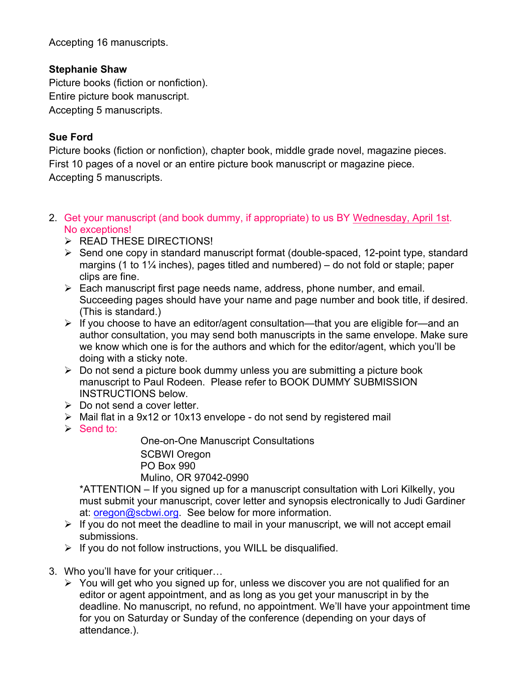Accepting 16 manuscripts.

## **Stephanie Shaw**

Picture books (fiction or nonfiction). Entire picture book manuscript. Accepting 5 manuscripts.

## **Sue Ford**

Picture books (fiction or nonfiction), chapter book, middle grade novel, magazine pieces. First 10 pages of a novel or an entire picture book manuscript or magazine piece. Accepting 5 manuscripts.

- 2. Get your manuscript (and book dummy, if appropriate) to us BY Wednesday, April 1st. No exceptions!
	- Ø READ THESE DIRECTIONS!
	- $\triangleright$  Send one copy in standard manuscript format (double-spaced, 12-point type, standard margins (1 to  $1\frac{1}{4}$  inches), pages titled and numbered) – do not fold or staple; paper clips are fine.
	- $\triangleright$  Each manuscript first page needs name, address, phone number, and email. Succeeding pages should have your name and page number and book title, if desired. (This is standard.)
	- $\triangleright$  If you choose to have an editor/agent consultation—that you are eligible for—and an author consultation, you may send both manuscripts in the same envelope. Make sure we know which one is for the authors and which for the editor/agent, which you'll be doing with a sticky note.
	- $\triangleright$  Do not send a picture book dummy unless you are submitting a picture book manuscript to Paul Rodeen. Please refer to BOOK DUMMY SUBMISSION INSTRUCTIONS below.
	- $\triangleright$  Do not send a cover letter.
	- $\triangleright$  Mail flat in a 9x12 or 10x13 envelope do not send by registered mail
	- $\triangleright$  Send to:

One-on-One Manuscript Consultations SCBWI Oregon PO Box 990 Mulino, OR 97042-0990

\*ATTENTION – If you signed up for a manuscript consultation with Lori Kilkelly, you must submit your manuscript, cover letter and synopsis electronically to Judi Gardiner at: oregon@scbwi.org. See below for more information.

- $\triangleright$  If you do not meet the deadline to mail in your manuscript, we will not accept email submissions.
- $\triangleright$  If you do not follow instructions, you WILL be disqualified.
- 3. Who you'll have for your critiquer…
	- $\triangleright$  You will get who you signed up for, unless we discover you are not qualified for an editor or agent appointment, and as long as you get your manuscript in by the deadline. No manuscript, no refund, no appointment. We'll have your appointment time for you on Saturday or Sunday of the conference (depending on your days of attendance.).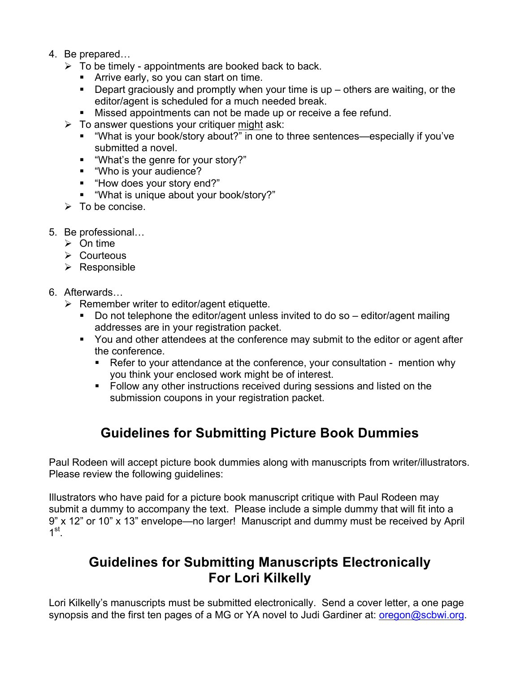- 4. Be prepared…
	- $\triangleright$  To be timely appointments are booked back to back.
		- Arrive early, so you can start on time.
		- Depart graciously and promptly when your time is up others are waiting, or the editor/agent is scheduled for a much needed break.
		- **■** Missed appointments can not be made up or receive a fee refund.
	- $\triangleright$  To answer questions your critiquer might ask:
		- "What is your book/story about?" in one to three sentences—especially if you've submitted a novel.
		- "What's the genre for your story?"
		- "Who is your audience?
		- "How does your story end?"
		- § "What is unique about your book/story?"
	- $\triangleright$  To be concise.
- 5. Be professional…
	- $\triangleright$  On time
	- $\triangleright$  Courteous
	- $\triangleright$  Responsible
- 6. Afterwards…
	- $\triangleright$  Remember writer to editor/agent etiquette.
		- § Do not telephone the editor/agent unless invited to do so editor/agent mailing addresses are in your registration packet.
		- § You and other attendees at the conference may submit to the editor or agent after the conference.
			- Refer to your attendance at the conference, your consultation mention why you think your enclosed work might be of interest.
			- § Follow any other instructions received during sessions and listed on the submission coupons in your registration packet.

# **Guidelines for Submitting Picture Book Dummies**

Paul Rodeen will accept picture book dummies along with manuscripts from writer/illustrators. Please review the following guidelines:

Illustrators who have paid for a picture book manuscript critique with Paul Rodeen may submit a dummy to accompany the text. Please include a simple dummy that will fit into a 9" x 12" or 10" x 13" envelope—no larger! Manuscript and dummy must be received by April  $1^{\rm st}$ 

## **Guidelines for Submitting Manuscripts Electronically For Lori Kilkelly**

Lori Kilkelly's manuscripts must be submitted electronically. Send a cover letter, a one page synopsis and the first ten pages of a MG or YA novel to Judi Gardiner at: oregon@scbwi.org.